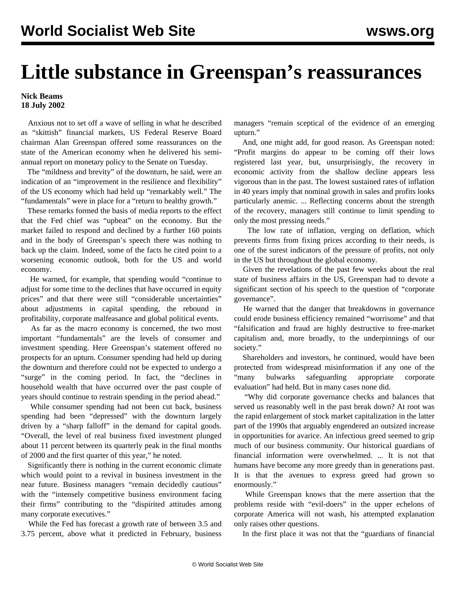## **Little substance in Greenspan's reassurances**

## **Nick Beams 18 July 2002**

 Anxious not to set off a wave of selling in what he described as "skittish" financial markets, US Federal Reserve Board chairman Alan Greenspan offered some reassurances on the state of the American economy when he delivered his semiannual report on monetary policy to the Senate on Tuesday.

 The "mildness and brevity" of the downturn, he said, were an indication of an "improvement in the resilience and flexibility" of the US economy which had held up "remarkably well." The "fundamentals" were in place for a "return to healthy growth."

 These remarks formed the basis of media reports to the effect that the Fed chief was "upbeat" on the economy. But the market failed to respond and declined by a further 160 points and in the body of Greenspan's speech there was nothing to back up the claim. Indeed, some of the facts he cited point to a worsening economic outlook, both for the US and world economy.

 He warned, for example, that spending would "continue to adjust for some time to the declines that have occurred in equity prices" and that there were still "considerable uncertainties" about adjustments in capital spending, the rebound in profitability, corporate malfeasance and global political events.

 As far as the macro economy is concerned, the two most important "fundamentals" are the levels of consumer and investment spending. Here Greenspan's statement offered no prospects for an upturn. Consumer spending had held up during the downturn and therefore could not be expected to undergo a "surge" in the coming period. In fact, the "declines in household wealth that have occurred over the past couple of years should continue to restrain spending in the period ahead."

 While consumer spending had not been cut back, business spending had been "depressed" with the downturn largely driven by a "sharp falloff" in the demand for capital goods. "Overall, the level of real business fixed investment plunged about 11 percent between its quarterly peak in the final months of 2000 and the first quarter of this year," he noted.

 Significantly there is nothing in the current economic climate which would point to a revival in business investment in the near future. Business managers "remain decidedly cautious" with the "intensely competitive business environment facing their firms" contributing to the "dispirited attitudes among many corporate executives."

 While the Fed has forecast a growth rate of between 3.5 and 3.75 percent, above what it predicted in February, business managers "remain sceptical of the evidence of an emerging upturn."

 And, one might add, for good reason. As Greenspan noted: "Profit margins do appear to be coming off their lows registered last year, but, unsurprisingly, the recovery in economic activity from the shallow decline appears less vigorous than in the past. The lowest sustained rates of inflation in 40 years imply that nominal growth in sales and profits looks particularly anemic. ... Reflecting concerns about the strength of the recovery, managers still continue to limit spending to only the most pressing needs."

 The low rate of inflation, verging on deflation, which prevents firms from fixing prices according to their needs, is one of the surest indicators of the pressure of profits, not only in the US but throughout the global economy.

 Given the revelations of the past few weeks about the real state of business affairs in the US, Greenspan had to devote a significant section of his speech to the question of "corporate governance".

 He warned that the danger that breakdowns in governance could erode business efficiency remained "worrisome" and that "falsification and fraud are highly destructive to free-market capitalism and, more broadly, to the underpinnings of our society."

 Shareholders and investors, he continued, would have been protected from widespread misinformation if any one of the "many bulwarks safeguarding appropriate corporate evaluation" had held. But in many cases none did.

 "Why did corporate governance checks and balances that served us reasonably well in the past break down? At root was the rapid enlargement of stock market capitalization in the latter part of the 1990s that arguably engendered an outsized increase in opportunities for avarice. An infectious greed seemed to grip much of our business community. Our historical guardians of financial information were overwhelmed. ... It is not that humans have become any more greedy than in generations past. It is that the avenues to express greed had grown so enormously."

 While Greenspan knows that the mere assertion that the problems reside with "evil-doers" in the upper echelons of corporate America will not wash, his attempted explanation only raises other questions.

In the first place it was not that the "guardians of financial